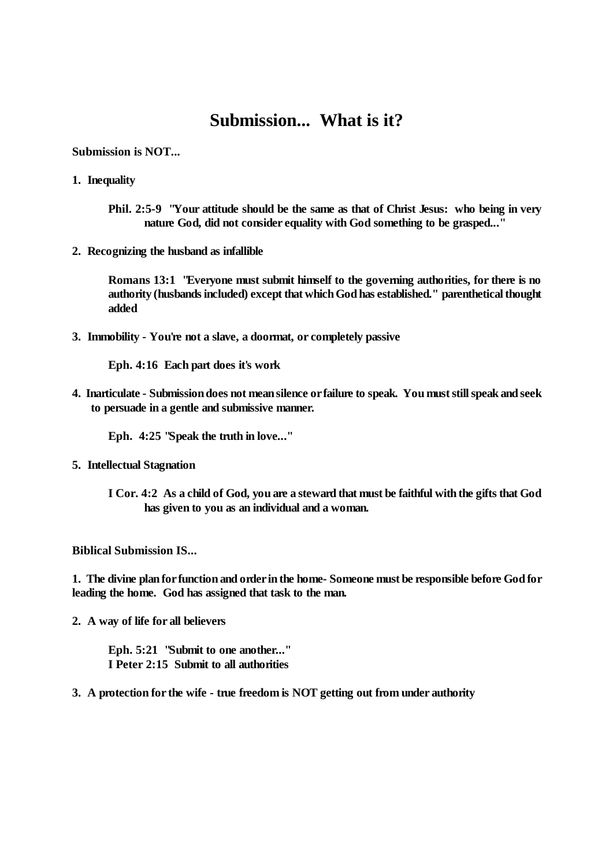## **Submission... What is it?**

## **Submission is NOT...**

- **1. Inequality**
	- **Phil. 2:5-9 "Your attitude should be the same as that of Christ Jesus: who being in very nature God, did not consider equality with God something to be grasped..."**
- **2. Recognizing the husband as infallible**

**Romans 13:1 "Everyone must submit himself to the governing authorities, for there is no authority (husbandsincluded) except that which God has established." parenthetical thought added**

**3. Immobility - You're not a slave, a doormat, or completely passive**

**Eph. 4:16 Each part does it's work**

**4. Inarticulate - Submission does not mean silence or failure to speak. You must stillspeak and seek to persuade in a gentle and submissive manner.**

**Eph. 4:25 "Speak the truth in love..."**

- **5. Intellectual Stagnation**
	- **I Cor. 4:2** As a child of God, you are a steward that must be faithful with the gifts that God **has given to you as an individual and a woman.**

## **Biblical Submission IS...**

**1. The divine plan for function and order in the home- Someone must be responsible before God for leading the home. God has assigned that task to the man.**

**2. A way of life for all believers**

**Eph. 5:21 "Submit to one another..." I Peter 2:15 Submit to all authorities**

**3. A protection for the wife - true freedom is NOT getting out from under authority**